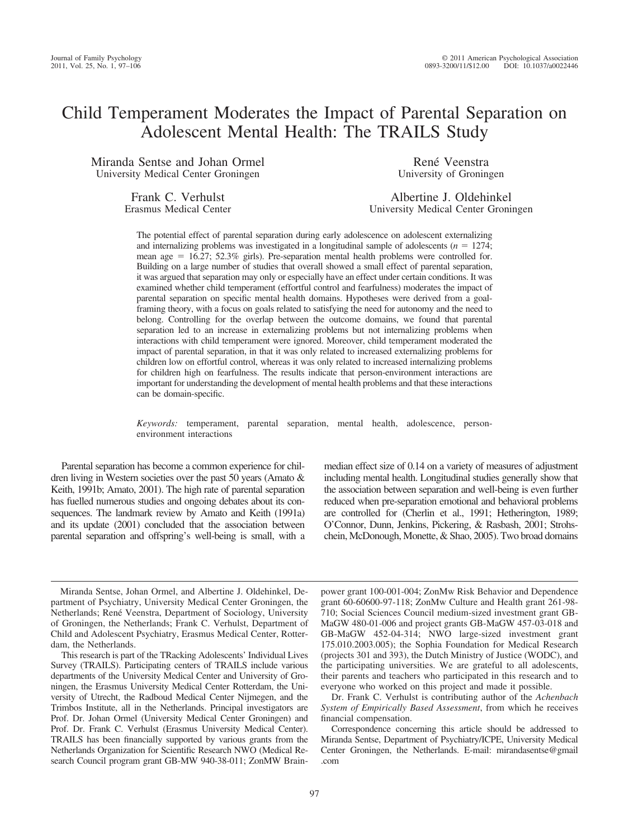# Child Temperament Moderates the Impact of Parental Separation on Adolescent Mental Health: The TRAILS Study

Miranda Sentse and Johan Ormel University Medical Center Groningen

René Veenstra University of Groningen

Frank C. Verhulst Erasmus Medical Center

Albertine J. Oldehinkel University Medical Center Groningen

The potential effect of parental separation during early adolescence on adolescent externalizing and internalizing problems was investigated in a longitudinal sample of adolescents ( $n = 1274$ ; mean age  $= 16.27$ ; 52.3% girls). Pre-separation mental health problems were controlled for. Building on a large number of studies that overall showed a small effect of parental separation, it was argued that separation may only or especially have an effect under certain conditions. It was examined whether child temperament (effortful control and fearfulness) moderates the impact of parental separation on specific mental health domains. Hypotheses were derived from a goalframing theory, with a focus on goals related to satisfying the need for autonomy and the need to belong. Controlling for the overlap between the outcome domains, we found that parental separation led to an increase in externalizing problems but not internalizing problems when interactions with child temperament were ignored. Moreover, child temperament moderated the impact of parental separation, in that it was only related to increased externalizing problems for children low on effortful control, whereas it was only related to increased internalizing problems for children high on fearfulness. The results indicate that person-environment interactions are important for understanding the development of mental health problems and that these interactions can be domain-specific.

*Keywords:* temperament, parental separation, mental health, adolescence, personenvironment interactions

Parental separation has become a common experience for children living in Western societies over the past 50 years (Amato & Keith, 1991b; Amato, 2001). The high rate of parental separation has fuelled numerous studies and ongoing debates about its consequences. The landmark review by Amato and Keith (1991a) and its update (2001) concluded that the association between parental separation and offspring's well-being is small, with a

median effect size of 0.14 on a variety of measures of adjustment including mental health. Longitudinal studies generally show that the association between separation and well-being is even further reduced when pre-separation emotional and behavioral problems are controlled for (Cherlin et al., 1991; Hetherington, 1989; O'Connor, Dunn, Jenkins, Pickering, & Rasbash, 2001; Strohschein, McDonough, Monette, & Shao, 2005). Two broad domains

Miranda Sentse, Johan Ormel, and Albertine J. Oldehinkel, Department of Psychiatry, University Medical Center Groningen, the Netherlands; René Veenstra, Department of Sociology, University of Groningen, the Netherlands; Frank C. Verhulst, Department of Child and Adolescent Psychiatry, Erasmus Medical Center, Rotterdam, the Netherlands.

This research is part of the TRacking Adolescents' Individual Lives Survey (TRAILS). Participating centers of TRAILS include various departments of the University Medical Center and University of Groningen, the Erasmus University Medical Center Rotterdam, the University of Utrecht, the Radboud Medical Center Nijmegen, and the Trimbos Institute, all in the Netherlands. Principal investigators are Prof. Dr. Johan Ormel (University Medical Center Groningen) and Prof. Dr. Frank C. Verhulst (Erasmus University Medical Center). TRAILS has been financially supported by various grants from the Netherlands Organization for Scientific Research NWO (Medical Research Council program grant GB-MW 940-38-011; ZonMW Brainpower grant 100-001-004; ZonMw Risk Behavior and Dependence grant 60-60600-97-118; ZonMw Culture and Health grant 261-98- 710; Social Sciences Council medium-sized investment grant GB-MaGW 480-01-006 and project grants GB-MaGW 457-03-018 and GB-MaGW 452-04-314; NWO large-sized investment grant 175.010.2003.005); the Sophia Foundation for Medical Research (projects 301 and 393), the Dutch Ministry of Justice (WODC), and the participating universities. We are grateful to all adolescents, their parents and teachers who participated in this research and to everyone who worked on this project and made it possible.

Dr. Frank C. Verhulst is contributing author of the *Achenbach System of Empirically Based Assessment*, from which he receives financial compensation.

Correspondence concerning this article should be addressed to Miranda Sentse, Department of Psychiatry/ICPE, University Medical Center Groningen, the Netherlands. E-mail: mirandasentse@gmail .com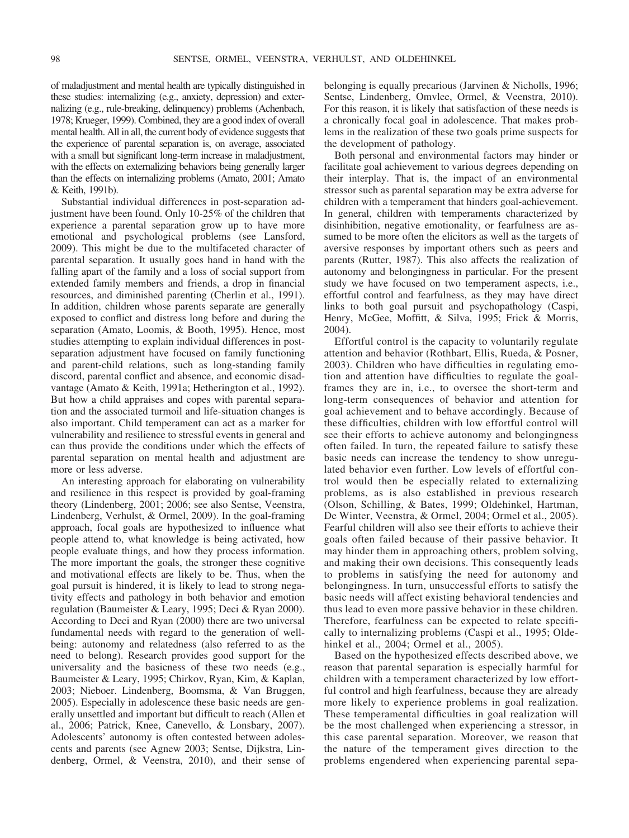of maladjustment and mental health are typically distinguished in these studies: internalizing (e.g., anxiety, depression) and externalizing (e.g., rule-breaking, delinquency) problems (Achenbach, 1978; Krueger, 1999). Combined, they are a good index of overall mental health. All in all, the current body of evidence suggests that the experience of parental separation is, on average, associated with a small but significant long-term increase in maladjustment, with the effects on externalizing behaviors being generally larger than the effects on internalizing problems (Amato, 2001; Amato & Keith, 1991b).

Substantial individual differences in post-separation adjustment have been found. Only 10-25% of the children that experience a parental separation grow up to have more emotional and psychological problems (see Lansford, 2009). This might be due to the multifaceted character of parental separation. It usually goes hand in hand with the falling apart of the family and a loss of social support from extended family members and friends, a drop in financial resources, and diminished parenting (Cherlin et al., 1991). In addition, children whose parents separate are generally exposed to conflict and distress long before and during the separation (Amato, Loomis, & Booth, 1995). Hence, most studies attempting to explain individual differences in postseparation adjustment have focused on family functioning and parent-child relations, such as long-standing family discord, parental conflict and absence, and economic disadvantage (Amato & Keith, 1991a; Hetherington et al., 1992). But how a child appraises and copes with parental separation and the associated turmoil and life-situation changes is also important. Child temperament can act as a marker for vulnerability and resilience to stressful events in general and can thus provide the conditions under which the effects of parental separation on mental health and adjustment are more or less adverse.

An interesting approach for elaborating on vulnerability and resilience in this respect is provided by goal-framing theory (Lindenberg, 2001; 2006; see also Sentse, Veenstra, Lindenberg, Verhulst, & Ormel, 2009). In the goal-framing approach, focal goals are hypothesized to influence what people attend to, what knowledge is being activated, how people evaluate things, and how they process information. The more important the goals, the stronger these cognitive and motivational effects are likely to be. Thus, when the goal pursuit is hindered, it is likely to lead to strong negativity effects and pathology in both behavior and emotion regulation (Baumeister & Leary, 1995; Deci & Ryan 2000). According to Deci and Ryan (2000) there are two universal fundamental needs with regard to the generation of wellbeing: autonomy and relatedness (also referred to as the need to belong). Research provides good support for the universality and the basicness of these two needs (e.g., Baumeister & Leary, 1995; Chirkov, Ryan, Kim, & Kaplan, 2003; Nieboer. Lindenberg, Boomsma, & Van Bruggen, 2005). Especially in adolescence these basic needs are generally unsettled and important but difficult to reach (Allen et al., 2006; Patrick, Knee, Canevello, & Lonsbary, 2007). Adolescents' autonomy is often contested between adolescents and parents (see Agnew 2003; Sentse, Dijkstra, Lindenberg, Ormel, & Veenstra, 2010), and their sense of belonging is equally precarious (Jarvinen & Nicholls, 1996; Sentse, Lindenberg, Omvlee, Ormel, & Veenstra, 2010). For this reason, it is likely that satisfaction of these needs is a chronically focal goal in adolescence. That makes problems in the realization of these two goals prime suspects for the development of pathology.

Both personal and environmental factors may hinder or facilitate goal achievement to various degrees depending on their interplay. That is, the impact of an environmental stressor such as parental separation may be extra adverse for children with a temperament that hinders goal-achievement. In general, children with temperaments characterized by disinhibition, negative emotionality, or fearfulness are assumed to be more often the elicitors as well as the targets of aversive responses by important others such as peers and parents (Rutter, 1987). This also affects the realization of autonomy and belongingness in particular. For the present study we have focused on two temperament aspects, i.e., effortful control and fearfulness, as they may have direct links to both goal pursuit and psychopathology (Caspi, Henry, McGee, Moffitt, & Silva, 1995; Frick & Morris, 2004).

Effortful control is the capacity to voluntarily regulate attention and behavior (Rothbart, Ellis, Rueda, & Posner, 2003). Children who have difficulties in regulating emotion and attention have difficulties to regulate the goalframes they are in, i.e., to oversee the short-term and long-term consequences of behavior and attention for goal achievement and to behave accordingly. Because of these difficulties, children with low effortful control will see their efforts to achieve autonomy and belongingness often failed. In turn, the repeated failure to satisfy these basic needs can increase the tendency to show unregulated behavior even further. Low levels of effortful control would then be especially related to externalizing problems, as is also established in previous research (Olson, Schilling, & Bates, 1999; Oldehinkel, Hartman, De Winter, Veenstra, & Ormel, 2004; Ormel et al., 2005). Fearful children will also see their efforts to achieve their goals often failed because of their passive behavior. It may hinder them in approaching others, problem solving, and making their own decisions. This consequently leads to problems in satisfying the need for autonomy and belongingness. In turn, unsuccessful efforts to satisfy the basic needs will affect existing behavioral tendencies and thus lead to even more passive behavior in these children. Therefore, fearfulness can be expected to relate specifically to internalizing problems (Caspi et al., 1995; Oldehinkel et al., 2004; Ormel et al., 2005).

Based on the hypothesized effects described above, we reason that parental separation is especially harmful for children with a temperament characterized by low effortful control and high fearfulness, because they are already more likely to experience problems in goal realization. These temperamental difficulties in goal realization will be the most challenged when experiencing a stressor, in this case parental separation. Moreover, we reason that the nature of the temperament gives direction to the problems engendered when experiencing parental sepa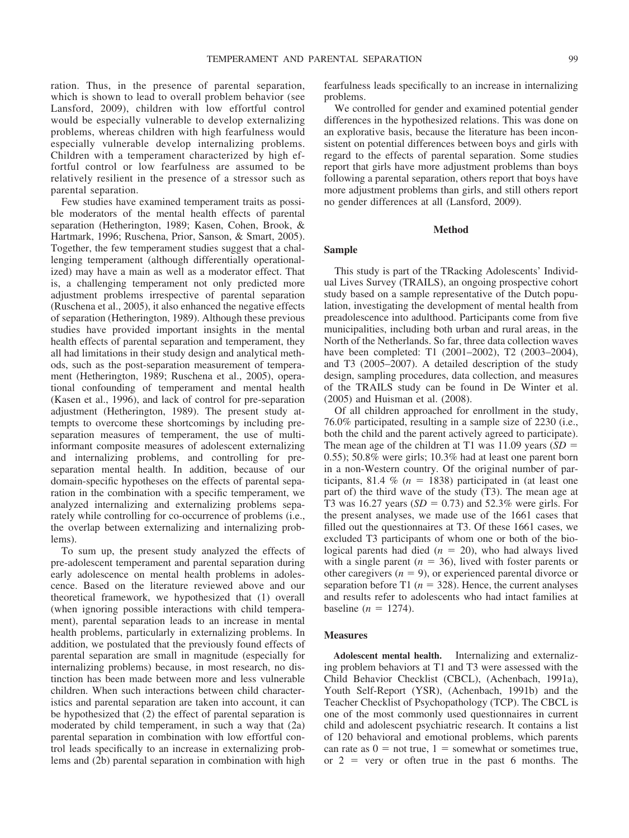ration. Thus, in the presence of parental separation, which is shown to lead to overall problem behavior (see Lansford, 2009), children with low effortful control would be especially vulnerable to develop externalizing problems, whereas children with high fearfulness would especially vulnerable develop internalizing problems. Children with a temperament characterized by high effortful control or low fearfulness are assumed to be relatively resilient in the presence of a stressor such as parental separation.

Few studies have examined temperament traits as possible moderators of the mental health effects of parental separation (Hetherington, 1989; Kasen, Cohen, Brook, & Hartmark, 1996; Ruschena, Prior, Sanson, & Smart, 2005). Together, the few temperament studies suggest that a challenging temperament (although differentially operationalized) may have a main as well as a moderator effect. That is, a challenging temperament not only predicted more adjustment problems irrespective of parental separation (Ruschena et al., 2005), it also enhanced the negative effects of separation (Hetherington, 1989). Although these previous studies have provided important insights in the mental health effects of parental separation and temperament, they all had limitations in their study design and analytical methods, such as the post-separation measurement of temperament (Hetherington, 1989; Ruschena et al., 2005), operational confounding of temperament and mental health (Kasen et al., 1996), and lack of control for pre-separation adjustment (Hetherington, 1989). The present study attempts to overcome these shortcomings by including preseparation measures of temperament, the use of multiinformant composite measures of adolescent externalizing and internalizing problems, and controlling for preseparation mental health. In addition, because of our domain-specific hypotheses on the effects of parental separation in the combination with a specific temperament, we analyzed internalizing and externalizing problems separately while controlling for co-occurrence of problems (i.e., the overlap between externalizing and internalizing problems).

To sum up, the present study analyzed the effects of pre-adolescent temperament and parental separation during early adolescence on mental health problems in adolescence. Based on the literature reviewed above and our theoretical framework, we hypothesized that (1) overall (when ignoring possible interactions with child temperament), parental separation leads to an increase in mental health problems, particularly in externalizing problems. In addition, we postulated that the previously found effects of parental separation are small in magnitude (especially for internalizing problems) because, in most research, no distinction has been made between more and less vulnerable children. When such interactions between child characteristics and parental separation are taken into account, it can be hypothesized that (2) the effect of parental separation is moderated by child temperament, in such a way that (2a) parental separation in combination with low effortful control leads specifically to an increase in externalizing problems and (2b) parental separation in combination with high

fearfulness leads specifically to an increase in internalizing problems.

We controlled for gender and examined potential gender differences in the hypothesized relations. This was done on an explorative basis, because the literature has been inconsistent on potential differences between boys and girls with regard to the effects of parental separation. Some studies report that girls have more adjustment problems than boys following a parental separation, others report that boys have more adjustment problems than girls, and still others report no gender differences at all (Lansford, 2009).

#### **Method**

# **Sample**

This study is part of the TRacking Adolescents' Individual Lives Survey (TRAILS), an ongoing prospective cohort study based on a sample representative of the Dutch population, investigating the development of mental health from preadolescence into adulthood. Participants come from five municipalities, including both urban and rural areas, in the North of the Netherlands. So far, three data collection waves have been completed: T1 (2001–2002), T2 (2003–2004), and T3 (2005–2007). A detailed description of the study design, sampling procedures, data collection, and measures of the TRAILS study can be found in De Winter et al. (2005) and Huisman et al. (2008).

Of all children approached for enrollment in the study, 76.0% participated, resulting in a sample size of 2230 (i.e., both the child and the parent actively agreed to participate). The mean age of the children at T1 was 11.09 years (*SD* 0.55); 50.8% were girls; 10.3% had at least one parent born in a non-Western country. Of the original number of participants, 81.4  $\%$  ( $n = 1838$ ) participated in (at least one part of) the third wave of the study (T3). The mean age at T3 was 16.27 years  $(SD = 0.73)$  and 52.3% were girls. For the present analyses, we made use of the 1661 cases that filled out the questionnaires at T3. Of these 1661 cases, we excluded T3 participants of whom one or both of the biological parents had died  $(n = 20)$ , who had always lived with a single parent  $(n = 36)$ , lived with foster parents or other caregivers  $(n = 9)$ , or experienced parental divorce or separation before T1 ( $n = 328$ ). Hence, the current analyses and results refer to adolescents who had intact families at baseline  $(n = 1274)$ .

# **Measures**

**Adolescent mental health.** Internalizing and externalizing problem behaviors at T1 and T3 were assessed with the Child Behavior Checklist (CBCL), (Achenbach, 1991a), Youth Self-Report (YSR), (Achenbach, 1991b) and the Teacher Checklist of Psychopathology (TCP). The CBCL is one of the most commonly used questionnaires in current child and adolescent psychiatric research. It contains a list of 120 behavioral and emotional problems, which parents can rate as  $0 = \text{not true}, 1 = \text{somewhat or sometimes true},$ or  $2 = \text{very}$  or often true in the past 6 months. The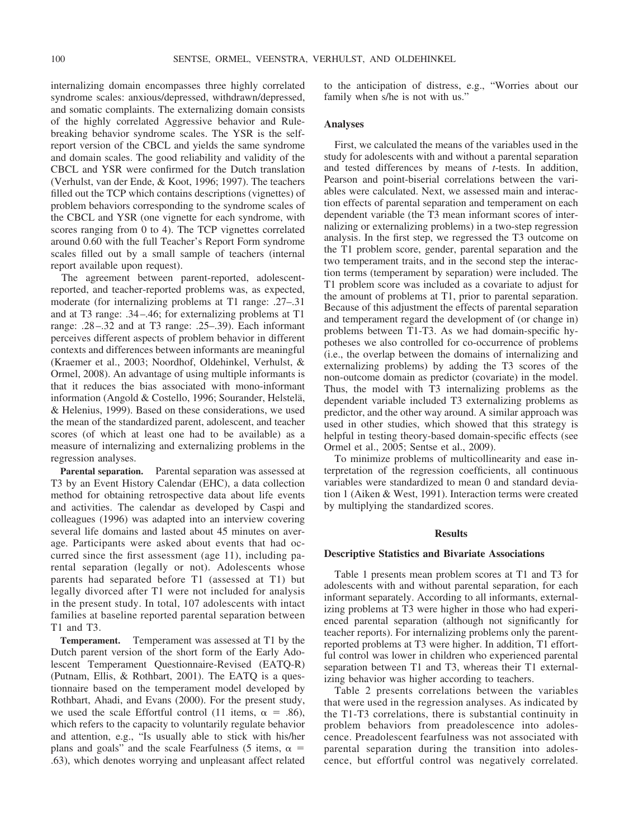internalizing domain encompasses three highly correlated syndrome scales: anxious/depressed, withdrawn/depressed, and somatic complaints. The externalizing domain consists of the highly correlated Aggressive behavior and Rulebreaking behavior syndrome scales. The YSR is the selfreport version of the CBCL and yields the same syndrome and domain scales. The good reliability and validity of the CBCL and YSR were confirmed for the Dutch translation (Verhulst, van der Ende, & Koot, 1996; 1997). The teachers filled out the TCP which contains descriptions (vignettes) of problem behaviors corresponding to the syndrome scales of the CBCL and YSR (one vignette for each syndrome, with scores ranging from 0 to 4). The TCP vignettes correlated around 0.60 with the full Teacher's Report Form syndrome scales filled out by a small sample of teachers (internal report available upon request).

The agreement between parent-reported, adolescentreported, and teacher-reported problems was, as expected, moderate (for internalizing problems at T1 range: .27–.31 and at T3 range: .34–.46; for externalizing problems at T1 range: .28–.32 and at T3 range: .25–.39). Each informant perceives different aspects of problem behavior in different contexts and differences between informants are meaningful (Kraemer et al., 2003; Noordhof, Oldehinkel, Verhulst, & Ormel, 2008). An advantage of using multiple informants is that it reduces the bias associated with mono-informant information (Angold & Costello, 1996; Sourander, Helstelä, & Helenius, 1999). Based on these considerations, we used the mean of the standardized parent, adolescent, and teacher scores (of which at least one had to be available) as a measure of internalizing and externalizing problems in the regression analyses.

**Parental separation.** Parental separation was assessed at T3 by an Event History Calendar (EHC), a data collection method for obtaining retrospective data about life events and activities. The calendar as developed by Caspi and colleagues (1996) was adapted into an interview covering several life domains and lasted about 45 minutes on average. Participants were asked about events that had occurred since the first assessment (age 11), including parental separation (legally or not). Adolescents whose parents had separated before T1 (assessed at T1) but legally divorced after T1 were not included for analysis in the present study. In total, 107 adolescents with intact families at baseline reported parental separation between T1 and T3.

**Temperament.** Temperament was assessed at T1 by the Dutch parent version of the short form of the Early Adolescent Temperament Questionnaire-Revised (EATQ-R) (Putnam, Ellis, & Rothbart, 2001). The EATQ is a questionnaire based on the temperament model developed by Rothbart, Ahadi, and Evans (2000). For the present study, we used the scale Effortful control (11 items,  $\alpha = .86$ ), which refers to the capacity to voluntarily regulate behavior and attention, e.g., "Is usually able to stick with his/her plans and goals" and the scale Fearfulness (5 items,  $\alpha$  = .63), which denotes worrying and unpleasant affect related to the anticipation of distress, e.g., "Worries about our family when s/he is not with us."

## **Analyses**

First, we calculated the means of the variables used in the study for adolescents with and without a parental separation and tested differences by means of *t*-tests. In addition, Pearson and point-biserial correlations between the variables were calculated. Next, we assessed main and interaction effects of parental separation and temperament on each dependent variable (the T3 mean informant scores of internalizing or externalizing problems) in a two-step regression analysis. In the first step, we regressed the T3 outcome on the T1 problem score, gender, parental separation and the two temperament traits, and in the second step the interaction terms (temperament by separation) were included. The T1 problem score was included as a covariate to adjust for the amount of problems at T1, prior to parental separation. Because of this adjustment the effects of parental separation and temperament regard the development of (or change in) problems between T1-T3. As we had domain-specific hypotheses we also controlled for co-occurrence of problems (i.e., the overlap between the domains of internalizing and externalizing problems) by adding the T3 scores of the non-outcome domain as predictor (covariate) in the model. Thus, the model with T3 internalizing problems as the dependent variable included T3 externalizing problems as predictor, and the other way around. A similar approach was used in other studies, which showed that this strategy is helpful in testing theory-based domain-specific effects (see Ormel et al., 2005; Sentse et al., 2009).

To minimize problems of multicollinearity and ease interpretation of the regression coefficients, all continuous variables were standardized to mean 0 and standard deviation 1 (Aiken & West, 1991). Interaction terms were created by multiplying the standardized scores.

#### **Results**

#### **Descriptive Statistics and Bivariate Associations**

Table 1 presents mean problem scores at T1 and T3 for adolescents with and without parental separation, for each informant separately. According to all informants, externalizing problems at T3 were higher in those who had experienced parental separation (although not significantly for teacher reports). For internalizing problems only the parentreported problems at T3 were higher. In addition, T1 effortful control was lower in children who experienced parental separation between T1 and T3, whereas their T1 externalizing behavior was higher according to teachers.

Table 2 presents correlations between the variables that were used in the regression analyses. As indicated by the T1-T3 correlations, there is substantial continuity in problem behaviors from preadolescence into adolescence. Preadolescent fearfulness was not associated with parental separation during the transition into adolescence, but effortful control was negatively correlated.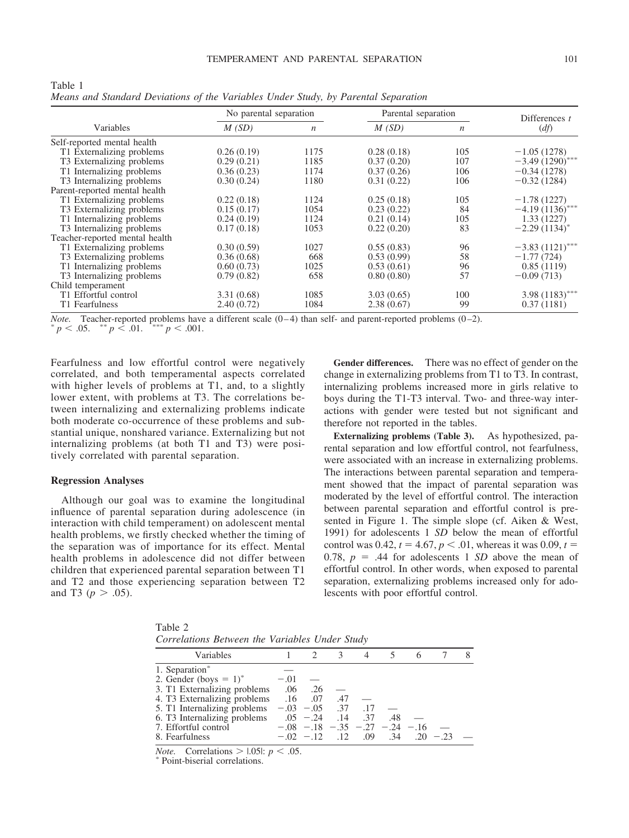| Variables                             | No parental separation |                  | Parental separation | Differences $t$  |                   |
|---------------------------------------|------------------------|------------------|---------------------|------------------|-------------------|
|                                       | M(SD)                  | $\boldsymbol{n}$ | M(SD)               | $\boldsymbol{n}$ | (df)              |
| Self-reported mental health           |                        |                  |                     |                  |                   |
| T1 Externalizing problems             | 0.26(0.19)             | 1175             | 0.28(0.18)          | 105              | $-1.05(1278)$     |
| T3 Externalizing problems             | 0.29(0.21)             | 1185             | 0.37(0.20)          | 107              | $-3.49(1290)$     |
| T1 Internalizing problems             | 0.36(0.23)             | 1174             | 0.37(0.26)          | 106              | $-0.34(1278)$     |
| T3 Internalizing problems             | 0.30(0.24)             | 1180             | 0.31(0.22)          | 106              | $-0.32(1284)$     |
| Parent-reported mental health         |                        |                  |                     |                  |                   |
| T1 Externalizing problems             | 0.22(0.18)             | 1124             | 0.25(0.18)          | 105              | $-1.78(1227)$     |
| T <sub>3</sub> Externalizing problems | 0.15(0.17)             | 1054             | 0.23(0.22)          | 84               | $-4.19(1136)^{*}$ |
| T1 Internalizing problems             | 0.24(0.19)             | 1124             | 0.21(0.14)          | 105              | 1.33(1227)        |
| T <sub>3</sub> Internalizing problems | 0.17(0.18)             | 1053             | 0.22(0.20)          | 83               | $-2.29(1134)^{*}$ |
| Teacher-reported mental health        |                        |                  |                     |                  |                   |
| T1 Externalizing problems             | 0.30(0.59)             | 1027             | 0.55(0.83)          | 96               | $-3.83(1121)$ *** |
| T <sub>3</sub> Externalizing problems | 0.36(0.68)             | 668              | 0.53(0.99)          | 58               | $-1.77(724)$      |
| T1 Internalizing problems             | 0.60(0.73)             | 1025             | 0.53(0.61)          | 96               | 0.85(1119)        |
| T <sub>3</sub> Internalizing problems | 0.79(0.82)             | 658              | 0.80(0.80)          | 57               | $-0.09(713)$      |
| Child temperament                     |                        |                  |                     |                  |                   |
| T1 Effortful control                  | 3.31 (0.68)            | 1085             | 3.03(0.65)          | 100              | $3.98(1183)$ ***  |
| T1 Fearfulness                        | 2.40(0.72)             | 1084             | 2.38(0.67)          | 99               | 0.37(1181)        |

Table 1 *Means and Standard Deviations of the Variables Under Study, by Parental Separation*

*Note.* Teacher-reported problems have a different scale (0–4) than self- and parent-reported problems (0–2).  $p < .05$ .  $p < .01$ .  $p < .001$ .

Fearfulness and low effortful control were negatively correlated, and both temperamental aspects correlated with higher levels of problems at T1, and, to a slightly lower extent, with problems at T3. The correlations between internalizing and externalizing problems indicate both moderate co-occurrence of these problems and substantial unique, nonshared variance. Externalizing but not internalizing problems (at both T1 and T3) were positively correlated with parental separation.

#### **Regression Analyses**

Although our goal was to examine the longitudinal influence of parental separation during adolescence (in interaction with child temperament) on adolescent mental health problems, we firstly checked whether the timing of the separation was of importance for its effect. Mental health problems in adolescence did not differ between children that experienced parental separation between T1 and T2 and those experiencing separation between T2 and T3 ( $p > .05$ ).

**Gender differences.** There was no effect of gender on the change in externalizing problems from T1 to T3. In contrast, internalizing problems increased more in girls relative to boys during the T1-T3 interval. Two- and three-way interactions with gender were tested but not significant and therefore not reported in the tables.

**Externalizing problems (Table 3).** As hypothesized, parental separation and low effortful control, not fearfulness, were associated with an increase in externalizing problems. The interactions between parental separation and temperament showed that the impact of parental separation was moderated by the level of effortful control. The interaction between parental separation and effortful control is presented in Figure 1. The simple slope (cf. Aiken & West, 1991) for adolescents 1 *SD* below the mean of effortful control was 0.42,  $t = 4.67$ ,  $p < .01$ , whereas it was 0.09,  $t =$ 0.78,  $p = .44$  for adolescents 1 *SD* above the mean of effortful control. In other words, when exposed to parental separation, externalizing problems increased only for adolescents with poor effortful control.

Table 2 *Correlations Between the Variables Under Study*

|        | $\mathcal{R}$ |                                                                              |                                                        |                         |                                           |                                                 |
|--------|---------------|------------------------------------------------------------------------------|--------------------------------------------------------|-------------------------|-------------------------------------------|-------------------------------------------------|
|        |               |                                                                              |                                                        |                         |                                           |                                                 |
| $-.01$ |               |                                                                              |                                                        |                         |                                           |                                                 |
|        |               |                                                                              |                                                        |                         |                                           |                                                 |
|        | .47           |                                                                              |                                                        |                         |                                           |                                                 |
|        |               |                                                                              |                                                        |                         |                                           |                                                 |
|        |               |                                                                              | .48                                                    |                         |                                           |                                                 |
|        |               |                                                                              |                                                        |                         |                                           |                                                 |
|        |               |                                                                              |                                                        |                         |                                           |                                                 |
|        |               | 3. T1 Externalizing problems .06 .26<br>4. T3 Externalizing problems .16 .07 | 5. T1 Internalizing problems $-.03$ $-.05$ $.37$ $.17$ | $.05 - .24$ $.14$ $.37$ | $-.08$ $-.18$ $-.35$ $-.27$ $-.24$ $-.16$ | $-0.02$ $-12$ $12$ $0.09$ $0.34$ $0.20$ $-0.23$ |

*Note.* Correlations  $>$  1.051: *p* < .05. <sup>\*</sup> Point-biserial correlations.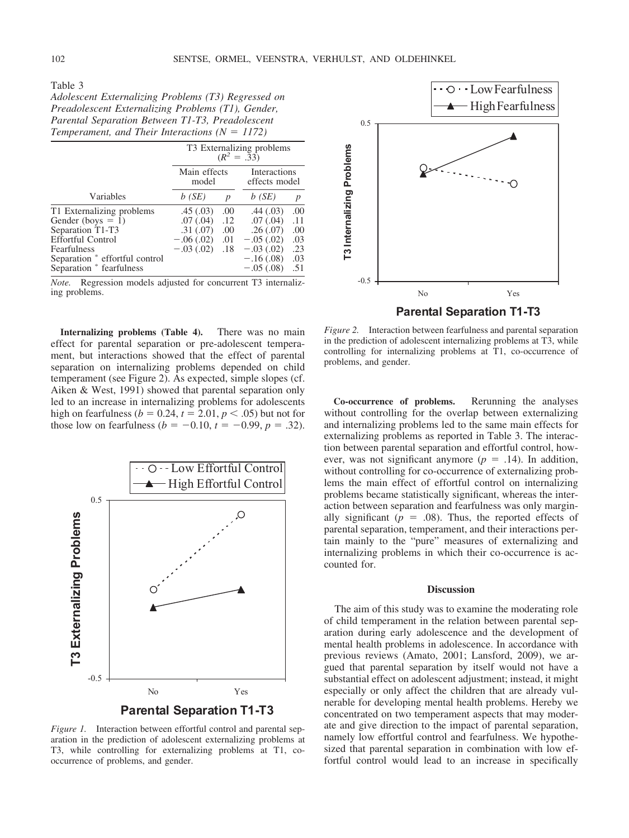Table 3

*Adolescent Externalizing Problems (T3) Regressed on Preadolescent Externalizing Problems (T1), Gender, Parental Separation Between T1-T3, Preadolescent Temperament, and Their Interactions (* $N = 1172$ *)* 

|                                | T3 Externalizing problems<br>$(R^2 = .33)$ |     |                               |     |  |  |
|--------------------------------|--------------------------------------------|-----|-------------------------------|-----|--|--|
|                                | Main effects<br>model                      |     | Interactions<br>effects model |     |  |  |
| Variables                      | b(SE)                                      | p   | b(SE)                         | p   |  |  |
| T1 Externalizing problems      | .45(.03)                                   | .00 | .44(.03)                      | .00 |  |  |
| Gender (boys $= 1$ )           | .07(.04)                                   | .12 | .07(.04)                      | .11 |  |  |
| Separation T1-T3               | .31(.07)                                   | .00 | .26(.07)                      | .00 |  |  |
| <b>Effortful Control</b>       | $-.06(.02)$                                | .01 | $-.05(.02)$                   | .03 |  |  |
| Fearfulness                    | $-.03(.02)$                                | .18 | $-.03(.02)$                   | .23 |  |  |
| Separation * effortful control |                                            |     | $-.16(.08)$                   | .03 |  |  |
| Separation * fearfulness       |                                            |     | $-.05(.08)$                   | .51 |  |  |

*Note.* Regression models adjusted for concurrent T3 internalizing problems.

**Internalizing problems (Table 4).** There was no main effect for parental separation or pre-adolescent temperament, but interactions showed that the effect of parental separation on internalizing problems depended on child temperament (see Figure 2). As expected, simple slopes (cf. Aiken & West, 1991) showed that parental separation only led to an increase in internalizing problems for adolescents high on fearfulness ( $b = 0.24$ ,  $t = 2.01$ ,  $p < .05$ ) but not for those low on fearfulness ( $b = -0.10$ ,  $t = -0.99$ ,  $p = .32$ ).



*Figure 1.* Interaction between effortful control and parental separation in the prediction of adolescent externalizing problems at T3, while controlling for externalizing problems at T1, cooccurrence of problems, and gender.



**Parental Separation T1-T3** *Figure 2.* Interaction between fearfulness and parental separation in the prediction of adolescent internalizing problems at T3, while controlling for internalizing problems at T1, co-occurrence of problems, and gender.

**Co-occurrence of problems.** Rerunning the analyses without controlling for the overlap between externalizing and internalizing problems led to the same main effects for externalizing problems as reported in Table 3. The interaction between parental separation and effortful control, however, was not significant anymore ( $p = .14$ ). In addition, without controlling for co-occurrence of externalizing problems the main effect of effortful control on internalizing problems became statistically significant, whereas the interaction between separation and fearfulness was only marginally significant ( $p = .08$ ). Thus, the reported effects of parental separation, temperament, and their interactions pertain mainly to the "pure" measures of externalizing and internalizing problems in which their co-occurrence is accounted for.

## **Discussion**

The aim of this study was to examine the moderating role of child temperament in the relation between parental separation during early adolescence and the development of mental health problems in adolescence. In accordance with previous reviews (Amato, 2001; Lansford, 2009), we argued that parental separation by itself would not have a substantial effect on adolescent adjustment; instead, it might especially or only affect the children that are already vulnerable for developing mental health problems. Hereby we concentrated on two temperament aspects that may moderate and give direction to the impact of parental separation, namely low effortful control and fearfulness. We hypothesized that parental separation in combination with low effortful control would lead to an increase in specifically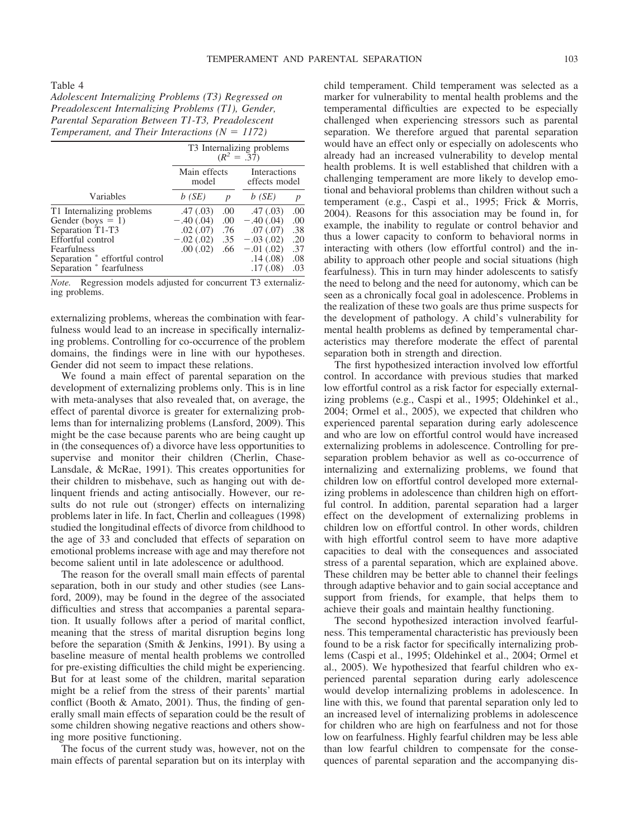Table 4

*Adolescent Internalizing Problems (T3) Regressed on Preadolescent Internalizing Problems (T1), Gender, Parental Separation Between T1-T3, Preadolescent Temperament, and Their Interactions*  $(N = 1172)$ 

|                                | T3 Internalizing problems<br>$(R^2 = .37)$ |                  |             |                               |  |  |
|--------------------------------|--------------------------------------------|------------------|-------------|-------------------------------|--|--|
|                                | Main effects<br>model                      |                  |             | Interactions<br>effects model |  |  |
| Variables                      | b(SE)                                      | $\boldsymbol{p}$ | b(SE)       | p                             |  |  |
| T1 Internalizing problems      | .47(.03)                                   | .00              | .47(0.03)   | .00                           |  |  |
| Gender (boys $= 1$ )           | $-.40(.04)$                                | .00              | $-.40(.04)$ | .00                           |  |  |
| Separation T1-T3               | .02(.07)                                   | .76              | .07(.07)    | .38                           |  |  |
| Effortful control              | $-.02(.02)$                                | .35              | $-.03(.02)$ | .20                           |  |  |
| Fearfulness                    | .00(.02)                                   | .66              | $-.01(.02)$ | .37                           |  |  |
| Separation * effortful control |                                            |                  | .14(0.08)   | .08                           |  |  |
| Separation * fearfulness       |                                            |                  | .17(0.08)   | .03                           |  |  |

*Note.* Regression models adjusted for concurrent T3 externalizing problems.

externalizing problems, whereas the combination with fearfulness would lead to an increase in specifically internalizing problems. Controlling for co-occurrence of the problem domains, the findings were in line with our hypotheses. Gender did not seem to impact these relations.

We found a main effect of parental separation on the development of externalizing problems only. This is in line with meta-analyses that also revealed that, on average, the effect of parental divorce is greater for externalizing problems than for internalizing problems (Lansford, 2009). This might be the case because parents who are being caught up in (the consequences of) a divorce have less opportunities to supervise and monitor their children (Cherlin, Chase-Lansdale, & McRae, 1991). This creates opportunities for their children to misbehave, such as hanging out with delinquent friends and acting antisocially. However, our results do not rule out (stronger) effects on internalizing problems later in life. In fact, Cherlin and colleagues (1998) studied the longitudinal effects of divorce from childhood to the age of 33 and concluded that effects of separation on emotional problems increase with age and may therefore not become salient until in late adolescence or adulthood.

The reason for the overall small main effects of parental separation, both in our study and other studies (see Lansford, 2009), may be found in the degree of the associated difficulties and stress that accompanies a parental separation. It usually follows after a period of marital conflict, meaning that the stress of marital disruption begins long before the separation (Smith & Jenkins, 1991). By using a baseline measure of mental health problems we controlled for pre-existing difficulties the child might be experiencing. But for at least some of the children, marital separation might be a relief from the stress of their parents' martial conflict (Booth & Amato, 2001). Thus, the finding of generally small main effects of separation could be the result of some children showing negative reactions and others showing more positive functioning.

The focus of the current study was, however, not on the main effects of parental separation but on its interplay with child temperament. Child temperament was selected as a marker for vulnerability to mental health problems and the temperamental difficulties are expected to be especially challenged when experiencing stressors such as parental separation. We therefore argued that parental separation would have an effect only or especially on adolescents who already had an increased vulnerability to develop mental health problems. It is well established that children with a challenging temperament are more likely to develop emotional and behavioral problems than children without such a temperament (e.g., Caspi et al., 1995; Frick & Morris, 2004). Reasons for this association may be found in, for example, the inability to regulate or control behavior and thus a lower capacity to conform to behavioral norms in interacting with others (low effortful control) and the inability to approach other people and social situations (high fearfulness). This in turn may hinder adolescents to satisfy the need to belong and the need for autonomy, which can be seen as a chronically focal goal in adolescence. Problems in the realization of these two goals are thus prime suspects for the development of pathology. A child's vulnerability for mental health problems as defined by temperamental characteristics may therefore moderate the effect of parental separation both in strength and direction.

The first hypothesized interaction involved low effortful control. In accordance with previous studies that marked low effortful control as a risk factor for especially externalizing problems (e.g., Caspi et al., 1995; Oldehinkel et al., 2004; Ormel et al., 2005), we expected that children who experienced parental separation during early adolescence and who are low on effortful control would have increased externalizing problems in adolescence. Controlling for preseparation problem behavior as well as co-occurrence of internalizing and externalizing problems, we found that children low on effortful control developed more externalizing problems in adolescence than children high on effortful control. In addition, parental separation had a larger effect on the development of externalizing problems in children low on effortful control. In other words, children with high effortful control seem to have more adaptive capacities to deal with the consequences and associated stress of a parental separation, which are explained above. These children may be better able to channel their feelings through adaptive behavior and to gain social acceptance and support from friends, for example, that helps them to achieve their goals and maintain healthy functioning.

The second hypothesized interaction involved fearfulness. This temperamental characteristic has previously been found to be a risk factor for specifically internalizing problems (Caspi et al., 1995; Oldehinkel et al., 2004; Ormel et al., 2005). We hypothesized that fearful children who experienced parental separation during early adolescence would develop internalizing problems in adolescence. In line with this, we found that parental separation only led to an increased level of internalizing problems in adolescence for children who are high on fearfulness and not for those low on fearfulness. Highly fearful children may be less able than low fearful children to compensate for the consequences of parental separation and the accompanying dis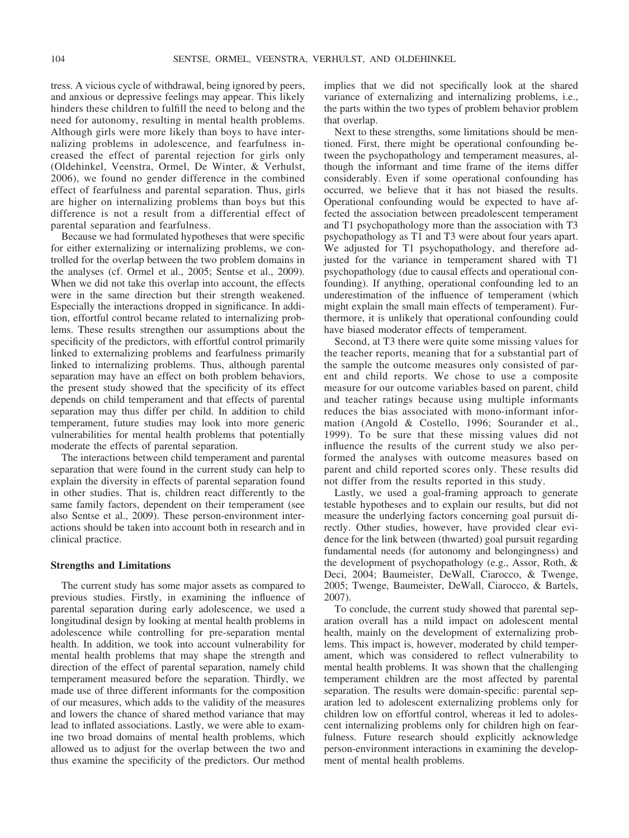tress. A vicious cycle of withdrawal, being ignored by peers, and anxious or depressive feelings may appear. This likely hinders these children to fulfill the need to belong and the need for autonomy, resulting in mental health problems. Although girls were more likely than boys to have internalizing problems in adolescence, and fearfulness increased the effect of parental rejection for girls only (Oldehinkel, Veenstra, Ormel, De Winter, & Verhulst, 2006), we found no gender difference in the combined effect of fearfulness and parental separation. Thus, girls are higher on internalizing problems than boys but this difference is not a result from a differential effect of parental separation and fearfulness.

Because we had formulated hypotheses that were specific for either externalizing or internalizing problems, we controlled for the overlap between the two problem domains in the analyses (cf. Ormel et al., 2005; Sentse et al., 2009). When we did not take this overlap into account, the effects were in the same direction but their strength weakened. Especially the interactions dropped in significance. In addition, effortful control became related to internalizing problems. These results strengthen our assumptions about the specificity of the predictors, with effortful control primarily linked to externalizing problems and fearfulness primarily linked to internalizing problems. Thus, although parental separation may have an effect on both problem behaviors, the present study showed that the specificity of its effect depends on child temperament and that effects of parental separation may thus differ per child. In addition to child temperament, future studies may look into more generic vulnerabilities for mental health problems that potentially moderate the effects of parental separation.

The interactions between child temperament and parental separation that were found in the current study can help to explain the diversity in effects of parental separation found in other studies. That is, children react differently to the same family factors, dependent on their temperament (see also Sentse et al., 2009). These person-environment interactions should be taken into account both in research and in clinical practice.

### **Strengths and Limitations**

The current study has some major assets as compared to previous studies. Firstly, in examining the influence of parental separation during early adolescence, we used a longitudinal design by looking at mental health problems in adolescence while controlling for pre-separation mental health. In addition, we took into account vulnerability for mental health problems that may shape the strength and direction of the effect of parental separation, namely child temperament measured before the separation. Thirdly, we made use of three different informants for the composition of our measures, which adds to the validity of the measures and lowers the chance of shared method variance that may lead to inflated associations. Lastly, we were able to examine two broad domains of mental health problems, which allowed us to adjust for the overlap between the two and thus examine the specificity of the predictors. Our method

implies that we did not specifically look at the shared variance of externalizing and internalizing problems, i.e., the parts within the two types of problem behavior problem that overlap.

Next to these strengths, some limitations should be mentioned. First, there might be operational confounding between the psychopathology and temperament measures, although the informant and time frame of the items differ considerably. Even if some operational confounding has occurred, we believe that it has not biased the results. Operational confounding would be expected to have affected the association between preadolescent temperament and T1 psychopathology more than the association with T3 psychopathology as T1 and T3 were about four years apart. We adjusted for T1 psychopathology, and therefore adjusted for the variance in temperament shared with T1 psychopathology (due to causal effects and operational confounding). If anything, operational confounding led to an underestimation of the influence of temperament (which might explain the small main effects of temperament). Furthermore, it is unlikely that operational confounding could have biased moderator effects of temperament.

Second, at T3 there were quite some missing values for the teacher reports, meaning that for a substantial part of the sample the outcome measures only consisted of parent and child reports. We chose to use a composite measure for our outcome variables based on parent, child and teacher ratings because using multiple informants reduces the bias associated with mono-informant information (Angold & Costello, 1996; Sourander et al., 1999). To be sure that these missing values did not influence the results of the current study we also performed the analyses with outcome measures based on parent and child reported scores only. These results did not differ from the results reported in this study.

Lastly, we used a goal-framing approach to generate testable hypotheses and to explain our results, but did not measure the underlying factors concerning goal pursuit directly. Other studies, however, have provided clear evidence for the link between (thwarted) goal pursuit regarding fundamental needs (for autonomy and belongingness) and the development of psychopathology (e.g., Assor, Roth, & Deci, 2004; Baumeister, DeWall, Ciarocco, & Twenge, 2005; Twenge, Baumeister, DeWall, Ciarocco, & Bartels, 2007).

To conclude, the current study showed that parental separation overall has a mild impact on adolescent mental health, mainly on the development of externalizing problems. This impact is, however, moderated by child temperament, which was considered to reflect vulnerability to mental health problems. It was shown that the challenging temperament children are the most affected by parental separation. The results were domain-specific: parental separation led to adolescent externalizing problems only for children low on effortful control, whereas it led to adolescent internalizing problems only for children high on fearfulness. Future research should explicitly acknowledge person-environment interactions in examining the development of mental health problems.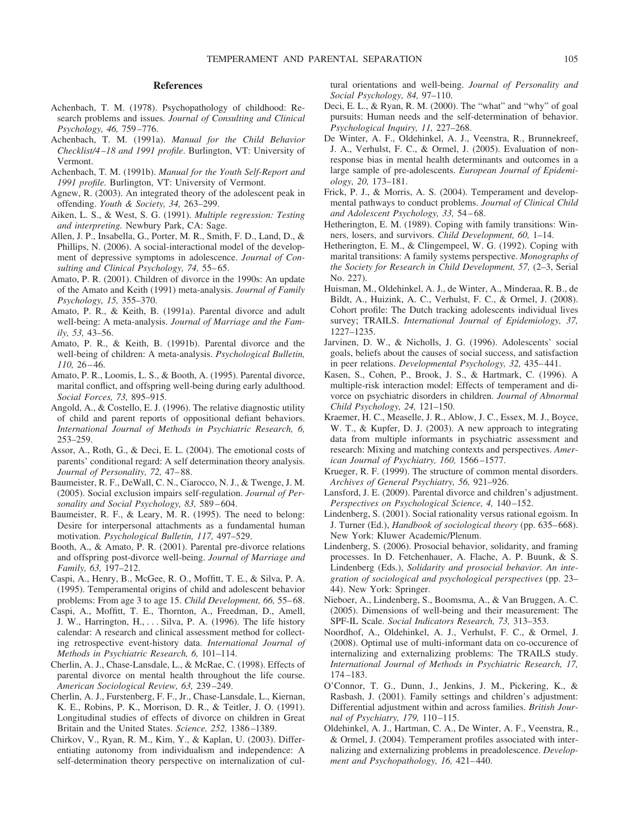#### **References**

- Achenbach, T. M. (1978). Psychopathology of childhood: Research problems and issues. *Journal of Consulting and Clinical Psychology, 46,* 759–776.
- Achenbach, T. M. (1991a). *Manual for the Child Behavior Checklist/4–18 and 1991 profile*. Burlington, VT: University of Vermont.
- Achenbach, T. M. (1991b). *Manual for the Youth Self-Report and 1991 profile.* Burlington, VT: University of Vermont.
- Agnew, R. (2003). An integrated theory of the adolescent peak in offending. *Youth & Society, 34,* 263–299.
- Aiken, L. S., & West, S. G. (1991). *Multiple regression: Testing and interpreting.* Newbury Park, CA: Sage.
- Allen, J. P., Insabella, G., Porter, M. R., Smith, F. D., Land, D., & Phillips, N. (2006). A social-interactional model of the development of depressive symptoms in adolescence. *Journal of Consulting and Clinical Psychology, 74,* 55–65.
- Amato, P. R. (2001). Children of divorce in the 1990s: An update of the Amato and Keith (1991) meta-analysis. *Journal of Family Psychology, 15,* 355–370.
- Amato, P. R., & Keith, B. (1991a). Parental divorce and adult well-being: A meta-analysis. *Journal of Marriage and the Family, 53,* 43–56.
- Amato, P. R., & Keith, B. (1991b). Parental divorce and the well-being of children: A meta-analysis. *Psychological Bulletin, 110,* 26–46.
- Amato, P. R., Loomis, L. S., & Booth, A. (1995). Parental divorce, marital conflict, and offspring well-being during early adulthood. *Social Forces, 73,* 895–915.
- Angold, A., & Costello, E. J. (1996). The relative diagnostic utility of child and parent reports of oppositional defiant behaviors. *International Journal of Methods in Psychiatric Research, 6,* 253–259.
- Assor, A., Roth, G., & Deci, E. L. (2004). The emotional costs of parents' conditional regard: A self determination theory analysis. *Journal of Personality, 72,* 47–88.
- Baumeister, R. F., DeWall, C. N., Ciarocco, N. J., & Twenge, J. M. (2005). Social exclusion impairs self-regulation. *Journal of Personality and Social Psychology, 83,* 589–604.
- Baumeister, R. F., & Leary, M. R. (1995). The need to belong: Desire for interpersonal attachments as a fundamental human motivation. *Psychological Bulletin, 117,* 497–529.
- Booth, A., & Amato, P. R. (2001). Parental pre-divorce relations and offspring post-divorce well-being. *Journal of Marriage and Family, 63,* 197–212.
- Caspi, A., Henry, B., McGee, R. O., Moffitt, T. E., & Silva, P. A. (1995). Temperamental origins of child and adolescent behavior problems: From age 3 to age 15. *Child Development, 66,* 55–68.
- Caspi, A., Moffitt, T. E., Thornton, A., Freedman, D., Amell, J. W., Harrington, H.,... Silva, P. A. (1996). The life history calendar: A research and clinical assessment method for collecting retrospective event-history data. *International Journal of Methods in Psychiatric Research, 6,* 101–114.
- Cherlin, A. J., Chase-Lansdale, L., & McRae, C. (1998). Effects of parental divorce on mental health throughout the life course. *American Sociological Review, 63,* 239–249.
- Cherlin, A. J., Furstenberg, F. F., Jr., Chase-Lansdale, L., Kiernan, K. E., Robins, P. K., Morrison, D. R., & Teitler, J. O. (1991). Longitudinal studies of effects of divorce on children in Great Britain and the United States. *Science, 252,* 1386–1389.
- Chirkov, V., Ryan, R. M., Kim, Y., & Kaplan, U. (2003). Differentiating autonomy from individualism and independence: A self-determination theory perspective on internalization of cul-

tural orientations and well-being. *Journal of Personality and Social Psychology, 84,* 97–110.

- Deci, E. L., & Ryan, R. M. (2000). The "what" and "why" of goal pursuits: Human needs and the self-determination of behavior. *Psychological Inquiry, 11,* 227–268.
- De Winter, A. F., Oldehinkel, A. J., Veenstra, R., Brunnekreef, J. A., Verhulst, F. C., & Ormel, J. (2005). Evaluation of nonresponse bias in mental health determinants and outcomes in a large sample of pre-adolescents. *European Journal of Epidemiology, 20,* 173–181.
- Frick, P. J., & Morris, A. S. (2004). Temperament and developmental pathways to conduct problems. *Journal of Clinical Child and Adolescent Psychology, 33,* 54–68.
- Hetherington, E. M. (1989). Coping with family transitions: Winners, losers, and survivors. *Child Development, 60,* 1–14.
- Hetherington, E. M., & Clingempeel, W. G. (1992). Coping with marital transitions: A family systems perspective. *Monographs of the Society for Research in Child Development, 57,* (2–3, Serial No. 227).
- Huisman, M., Oldehinkel, A. J., de Winter, A., Minderaa, R. B., de Bildt, A., Huizink, A. C., Verhulst, F. C., & Ormel, J. (2008). Cohort profile: The Dutch tracking adolescents individual lives survey; TRAILS. *International Journal of Epidemiology, 37,* 1227–1235.
- Jarvinen, D. W., & Nicholls, J. G. (1996). Adolescents' social goals, beliefs about the causes of social success, and satisfaction in peer relations. *Developmental Psychology, 32,* 435–441.
- Kasen, S., Cohen, P., Brook, J. S., & Hartmark, C. (1996). A multiple-risk interaction model: Effects of temperament and divorce on psychiatric disorders in children. *Journal of Abnormal Child Psychology, 24,* 121–150.
- Kraemer, H. C., Measelle, J. R., Ablow, J. C., Essex, M. J., Boyce, W. T., & Kupfer, D. J. (2003). A new approach to integrating data from multiple informants in psychiatric assessment and research: Mixing and matching contexts and perspectives. *American Journal of Psychiatry, 160,* 1566–1577.
- Krueger, R. F. (1999). The structure of common mental disorders. *Archives of General Psychiatry, 56,* 921–926.
- Lansford, J. E. (2009). Parental divorce and children's adjustment. *Perspectives on Psychological Science, 4,* 140–152.
- Lindenberg, S. (2001). Social rationality versus rational egoism. In J. Turner (Ed.), *Handbook of sociological theory* (pp. 635–668). New York: Kluwer Academic/Plenum.
- Lindenberg, S. (2006). Prosocial behavior, solidarity, and framing processes. In D. Fetchenhauer, A. Flache, A. P. Buunk, & S. Lindenberg (Eds.), *Solidarity and prosocial behavior. An integration of sociological and psychological perspectives* (pp. 23– 44). New York: Springer.
- Nieboer, A., Lindenberg, S., Boomsma, A., & Van Bruggen, A. C. (2005). Dimensions of well-being and their measurement: The SPF-IL Scale. *Social Indicators Research, 73,* 313–353.
- Noordhof, A., Oldehinkel, A. J., Verhulst, F. C., & Ormel, J. (2008). Optimal use of multi-informant data on co-occurence of internalizing and externalizing problems: The TRAILS study. *International Journal of Methods in Psychiatric Research, 17,* 174–183.
- O'Connor, T. G., Dunn, J., Jenkins, J. M., Pickering, K., & Rasbash, J. (2001). Family settings and children's adjustment: Differential adjustment within and across families. *British Journal of Psychiatry, 179,* 110–115.
- Oldehinkel, A. J., Hartman, C. A., De Winter, A. F., Veenstra, R., & Ormel, J. (2004). Temperament profiles associated with internalizing and externalizing problems in preadolescence. *Development and Psychopathology, 16,* 421–440.